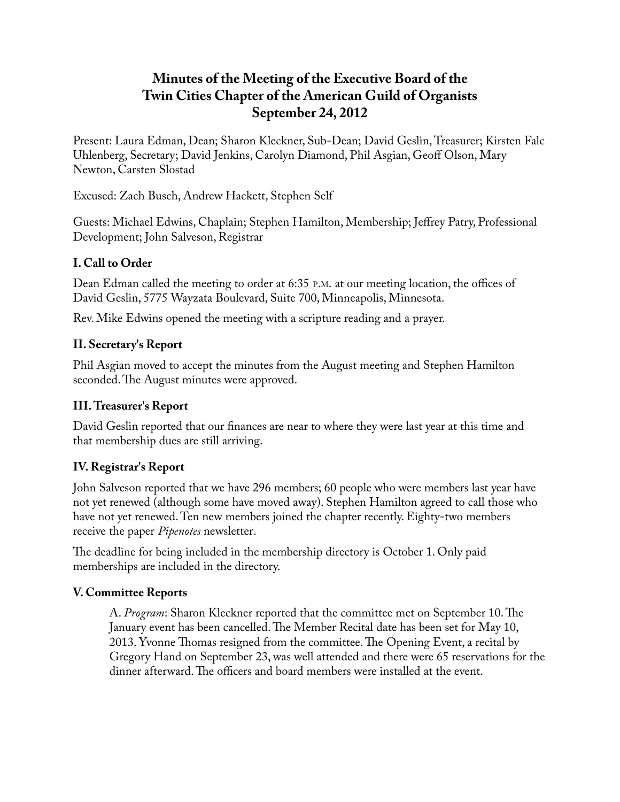# **Minutes of the Meeting of the Executive Board of the Twin Cities Chapter of the American Guild of Organists September 24, 2012**

Present: Laura Edman, Dean; Sharon Kleckner, Sub-Dean; David Geslin, Treasurer; Kirsten Falc Uhlenberg, Secretary; David Jenkins, Carolyn Diamond, Phil Asgian, Geoff Olson, Mary Newton, Carsten Slostad

Excused: Zach Busch, Andrew Hackett, Stephen Self

Guests: Michael Edwins, Chaplain; Stephen Hamilton, Membership; Jeffrey Patry, Professional Development; John Salveson, Registrar

### **I. Call to Order**

Dean Edman called the meeting to order at 6:35 P.M. at our meeting location, the offices of David Geslin, 5775 Wayzata Boulevard, Suite 700, Minneapolis, Minnesota.

Rev. Mike Edwins opened the meeting with a scripture reading and a prayer.

#### **II. Secretary's Report**

Phil Asgian moved to accept the minutes from the August meeting and Stephen Hamilton seconded. The August minutes were approved.

## **III. Treasurer's Report**

David Geslin reported that our finances are near to where they were last year at this time and that membership dues are still arriving.

## **IV. Registrar's Report**

John Salveson reported that we have 296 members; 60 people who were members last year have not yet renewed (although some have moved away). Stephen Hamilton agreed to call those who have not yet renewed. Ten new members joined the chapter recently. Eighty-two members receive the paper *Pipenotes* newsletter.

The deadline for being included in the membership directory is October 1. Only paid memberships are included in the directory.

#### **V. Committee Reports**

A. *Program*: Sharon Kleckner reported that the committee met on September 10. The January event has been cancelled. The Member Recital date has been set for May 10, 2013. Yvonne Thomas resigned from the committee. The Opening Event, a recital by Gregory Hand on September 23, was well attended and there were 65 reservations for the dinner afterward. The officers and board members were installed at the event.